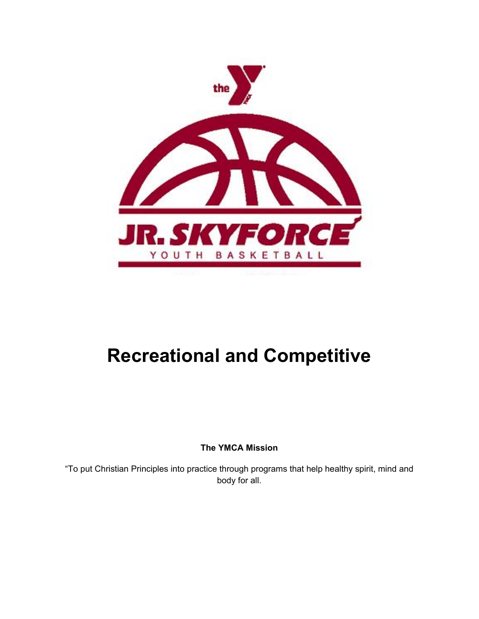

# **Recreational and Competitive**

**The YMCA Mission**

"To put Christian Principles into practice through programs that help healthy spirit, mind and body for all.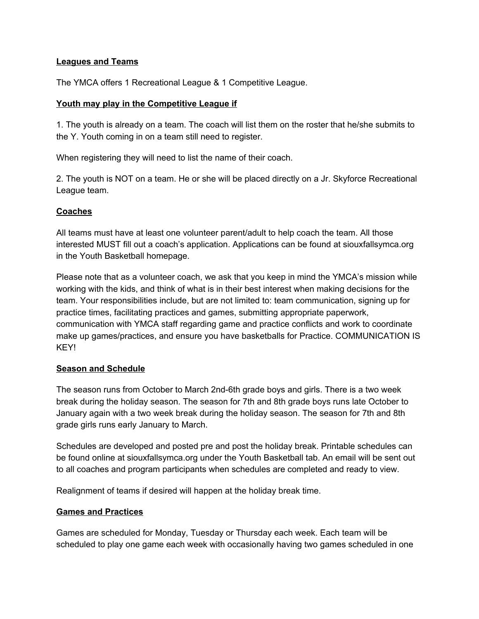## **Leagues and Teams**

The YMCA offers 1 Recreational League & 1 Competitive League.

#### **Youth may play in the Competitive League if**

1. The youth is already on a team. The coach will list them on the roster that he/she submits to the Y. Youth coming in on a team still need to register.

When registering they will need to list the name of their coach.

2. The youth is NOT on a team. He or she will be placed directly on a Jr. Skyforce Recreational League team.

## **Coaches**

All teams must have at least one volunteer parent/adult to help coach the team. All those interested MUST fill out a coach's application. Applications can be found at siouxfallsymca.org in the Youth Basketball homepage.

Please note that as a volunteer coach, we ask that you keep in mind the YMCA's mission while working with the kids, and think of what is in their best interest when making decisions for the team. Your responsibilities include, but are not limited to: team communication, signing up for practice times, facilitating practices and games, submitting appropriate paperwork, communication with YMCA staff regarding game and practice conflicts and work to coordinate make up games/practices, and ensure you have basketballs for Practice. COMMUNICATION IS KEY!

#### **Season and Schedule**

The season runs from October to March 2nd-6th grade boys and girls. There is a two week break during the holiday season. The season for 7th and 8th grade boys runs late October to January again with a two week break during the holiday season. The season for 7th and 8th grade girls runs early January to March.

Schedules are developed and posted pre and post the holiday break. Printable schedules can be found online at siouxfallsymca.org under the Youth Basketball tab. An email will be sent out to all coaches and program participants when schedules are completed and ready to view.

Realignment of teams if desired will happen at the holiday break time.

#### **Games and Practices**

Games are scheduled for Monday, Tuesday or Thursday each week. Each team will be scheduled to play one game each week with occasionally having two games scheduled in one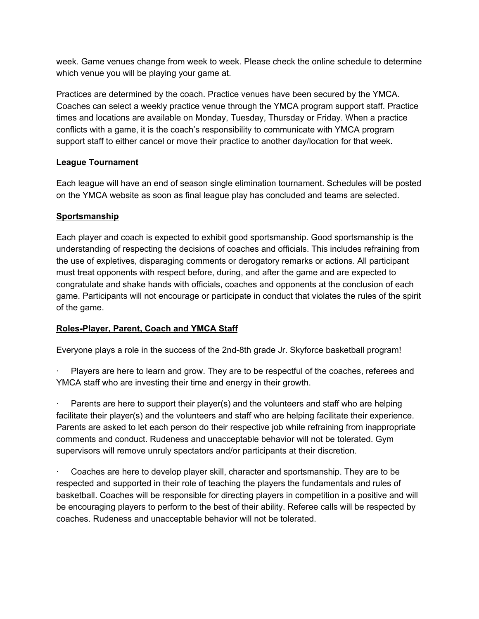week. Game venues change from week to week. Please check the online schedule to determine which venue you will be playing your game at.

Practices are determined by the coach. Practice venues have been secured by the YMCA. Coaches can select a weekly practice venue through the YMCA program support staff. Practice times and locations are available on Monday, Tuesday, Thursday or Friday. When a practice conflicts with a game, it is the coach's responsibility to communicate with YMCA program support staff to either cancel or move their practice to another day/location for that week.

# **League Tournament**

Each league will have an end of season single elimination tournament. Schedules will be posted on the YMCA website as soon as final league play has concluded and teams are selected.

# **Sportsmanship**

Each player and coach is expected to exhibit good sportsmanship. Good sportsmanship is the understanding of respecting the decisions of coaches and officials. This includes refraining from the use of expletives, disparaging comments or derogatory remarks or actions. All participant must treat opponents with respect before, during, and after the game and are expected to congratulate and shake hands with officials, coaches and opponents at the conclusion of each game. Participants will not encourage or participate in conduct that violates the rules of the spirit of the game.

# **Roles-Player, Parent, Coach and YMCA Staff**

Everyone plays a role in the success of the 2nd-8th grade Jr. Skyforce basketball program!

Players are here to learn and grow. They are to be respectful of the coaches, referees and YMCA staff who are investing their time and energy in their growth.

Parents are here to support their player(s) and the volunteers and staff who are helping facilitate their player(s) and the volunteers and staff who are helping facilitate their experience. Parents are asked to let each person do their respective job while refraining from inappropriate comments and conduct. Rudeness and unacceptable behavior will not be tolerated. Gym supervisors will remove unruly spectators and/or participants at their discretion.

Coaches are here to develop player skill, character and sportsmanship. They are to be respected and supported in their role of teaching the players the fundamentals and rules of basketball. Coaches will be responsible for directing players in competition in a positive and will be encouraging players to perform to the best of their ability. Referee calls will be respected by coaches. Rudeness and unacceptable behavior will not be tolerated.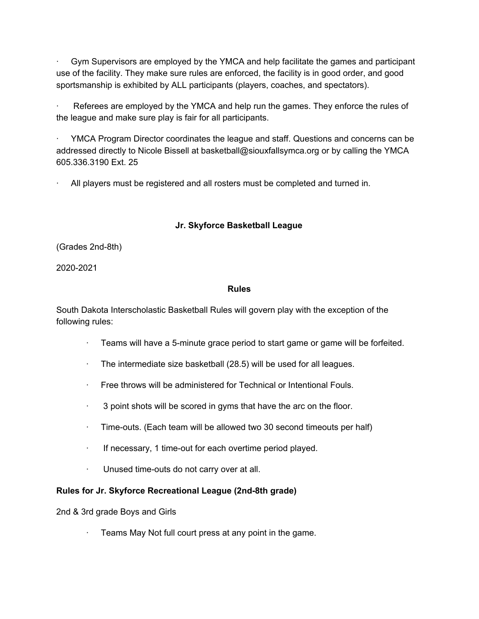· Gym Supervisors are employed by the YMCA and help facilitate the games and participant use of the facility. They make sure rules are enforced, the facility is in good order, and good sportsmanship is exhibited by ALL participants (players, coaches, and spectators).

Referees are employed by the YMCA and help run the games. They enforce the rules of the league and make sure play is fair for all participants.

· YMCA Program Director coordinates the league and staff. Questions and concerns can be addressed directly to Nicole Bissell at basketball@siouxfallsymca.org or by calling the YMCA 605.336.3190 Ext. 25

· All players must be registered and all rosters must be completed and turned in.

# **Jr. Skyforce Basketball League**

(Grades 2nd-8th)

2020-2021

## **Rules**

South Dakota Interscholastic Basketball Rules will govern play with the exception of the following rules:

- · Teams will have a 5-minute grace period to start game or game will be forfeited.
- · The intermediate size basketball (28.5) will be used for all leagues.
- · Free throws will be administered for Technical or Intentional Fouls.
- $\cdot$  3 point shots will be scored in gyms that have the arc on the floor.
- $\cdot$  Time-outs. (Each team will be allowed two 30 second timeouts per half)
- If necessary, 1 time-out for each overtime period played.
- · Unused time-outs do not carry over at all.

# **Rules for Jr. Skyforce Recreational League (2nd-8th grade)**

2nd & 3rd grade Boys and Girls

Teams May Not full court press at any point in the game.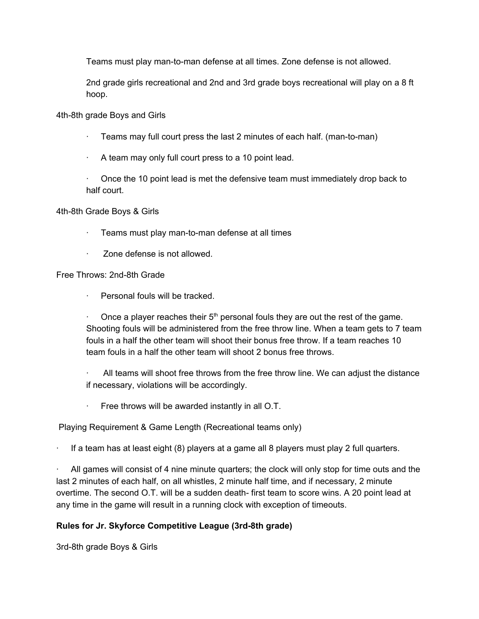Teams must play man-to-man defense at all times. Zone defense is not allowed.

2nd grade girls recreational and 2nd and 3rd grade boys recreational will play on a 8 ft hoop.

4th-8th grade Boys and Girls

- $\cdot$  Teams may full court press the last 2 minutes of each half. (man-to-man)
- · A team may only full court press to a 10 point lead.

· Once the 10 point lead is met the defensive team must immediately drop back to half court.

4th-8th Grade Boys & Girls

- Teams must play man-to-man defense at all times
- · Zone defense is not allowed.

Free Throws: 2nd-8th Grade

Personal fouls will be tracked.

Once a player reaches their  $5<sup>th</sup>$  personal fouls they are out the rest of the game. Shooting fouls will be administered from the free throw line. When a team gets to 7 team fouls in a half the other team will shoot their bonus free throw. If a team reaches 10 team fouls in a half the other team will shoot 2 bonus free throws.

All teams will shoot free throws from the free throw line. We can adjust the distance if necessary, violations will be accordingly.

 $\cdot$  Free throws will be awarded instantly in all O.T.

Playing Requirement & Game Length (Recreational teams only)

· If a team has at least eight (8) players at a game all 8 players must play 2 full quarters.

All games will consist of 4 nine minute quarters; the clock will only stop for time outs and the last 2 minutes of each half, on all whistles, 2 minute half time, and if necessary, 2 minute overtime. The second O.T. will be a sudden death- first team to score wins. A 20 point lead at any time in the game will result in a running clock with exception of timeouts.

# **Rules for Jr. Skyforce Competitive League (3rd-8th grade)**

3rd-8th grade Boys & Girls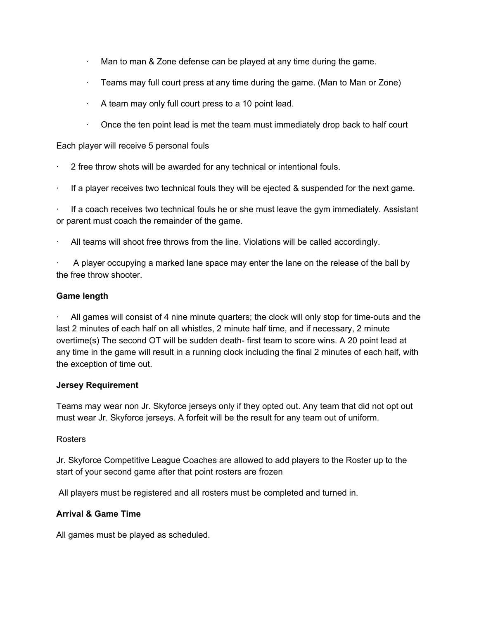- $\cdot$  Man to man & Zone defense can be played at any time during the game.
- · Teams may full court press at any time during the game. (Man to Man or Zone)
- · A team may only full court press to a 10 point lead.
- · Once the ten point lead is met the team must immediately drop back to half court

### Each player will receive 5 personal fouls

- 2 free throw shots will be awarded for any technical or intentional fouls.
- · If a player receives two technical fouls they will be ejected & suspended for the next game.

If a coach receives two technical fouls he or she must leave the gym immediately. Assistant or parent must coach the remainder of the game.

All teams will shoot free throws from the line. Violations will be called accordingly.

· A player occupying a marked lane space may enter the lane on the release of the ball by the free throw shooter.

#### **Game length**

· All games will consist of 4 nine minute quarters; the clock will only stop for time-outs and the last 2 minutes of each half on all whistles, 2 minute half time, and if necessary, 2 minute overtime(s) The second OT will be sudden death- first team to score wins. A 20 point lead at any time in the game will result in a running clock including the final 2 minutes of each half, with the exception of time out.

#### **Jersey Requirement**

Teams may wear non Jr. Skyforce jerseys only if they opted out. Any team that did not opt out must wear Jr. Skyforce jerseys. A forfeit will be the result for any team out of uniform.

#### **Rosters**

Jr. Skyforce Competitive League Coaches are allowed to add players to the Roster up to the start of your second game after that point rosters are frozen

All players must be registered and all rosters must be completed and turned in.

#### **Arrival & Game Time**

All games must be played as scheduled.